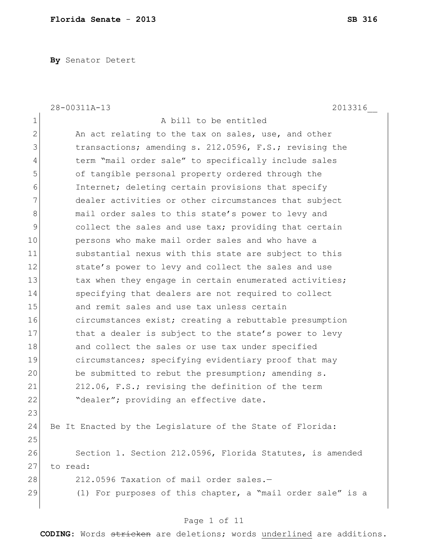**By** Senator Detert

|                | 28-00311A-13<br>2013316                                    |
|----------------|------------------------------------------------------------|
| 1              | A bill to be entitled                                      |
| $\overline{2}$ | An act relating to the tax on sales, use, and other        |
| 3              | transactions; amending s. 212.0596, F.S.; revising the     |
| 4              | term "mail order sale" to specifically include sales       |
| 5              | of tangible personal property ordered through the          |
| 6              | Internet; deleting certain provisions that specify         |
| 7              | dealer activities or other circumstances that subject      |
| 8              | mail order sales to this state's power to levy and         |
| 9              | collect the sales and use tax; providing that certain      |
| 10             | persons who make mail order sales and who have a           |
| 11             | substantial nexus with this state are subject to this      |
| 12             | state's power to levy and collect the sales and use        |
| 13             | tax when they engage in certain enumerated activities;     |
| 14             | specifying that dealers are not required to collect        |
| 15             | and remit sales and use tax unless certain                 |
| 16             | circumstances exist; creating a rebuttable presumption     |
| 17             | that a dealer is subject to the state's power to levy      |
| 18             | and collect the sales or use tax under specified           |
| 19             | circumstances; specifying evidentiary proof that may       |
| 20             | be submitted to rebut the presumption; amending s.         |
| 21             | 212.06, F.S.; revising the definition of the term          |
| 22             | "dealer"; providing an effective date.                     |
| 23             |                                                            |
| 24             | Be It Enacted by the Legislature of the State of Florida:  |
| 25             |                                                            |
| 26             | Section 1. Section 212.0596, Florida Statutes, is amended  |
| 27             | to read:                                                   |
| 28             | 212.0596 Taxation of mail order sales.-                    |
| 29             | (1) For purposes of this chapter, a "mail order sale" is a |
|                |                                                            |

# Page 1 of 11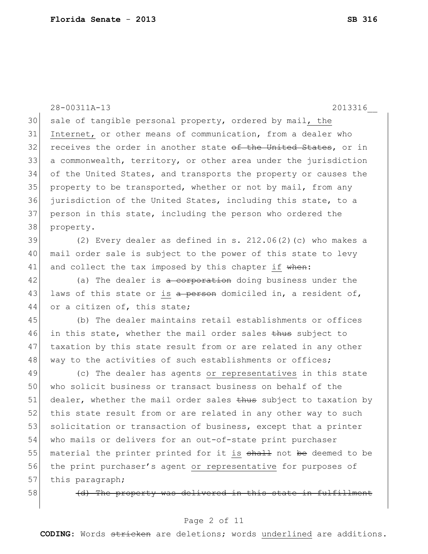28-00311A-13 2013316\_\_ 30 sale of tangible personal property, ordered by mail, the 31 Internet, or other means of communication, from a dealer who 32 receives the order in another state o<del>f the United States</del>, or in 33 a commonwealth, territory, or other area under the jurisdiction 34 of the United States, and transports the property or causes the 35 property to be transported, whether or not by mail, from any 36 jurisdiction of the United States, including this state, to a 37 person in this state, including the person who ordered the 38 property. 39  $(2)$  Every dealer as defined in s. 212.06(2)(c) who makes a 40 mail order sale is subject to the power of this state to levy 41 and collect the tax imposed by this chapter if when: 42 (a) The dealer is a corporation doing business under the 43 laws of this state or is a person domiciled in, a resident of, 44 or a citizen of, this state; 45 (b) The dealer maintains retail establishments or offices 46 in this state, whether the mail order sales thus subject to 47 taxation by this state result from or are related in any other 48 way to the activities of such establishments or offices; 49 (c) The dealer has agents or representatives in this state 50 who solicit business or transact business on behalf of the 51 dealer, whether the mail order sales thus subject to taxation by 52 this state result from or are related in any other way to such 53 solicitation or transaction of business, except that a printer 54 who mails or delivers for an out-of-state print purchaser 55 material the printer printed for it is shall not be deemed to be

56 the print purchaser's agent or representative for purposes of 57 this paragraph;

58 (d) The property was delivered in this state in fulfillment

#### Page 2 of 11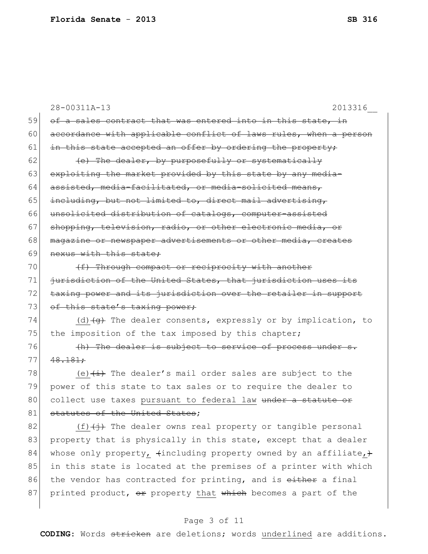|    | 28-00311A-13<br>2013316                                                       |
|----|-------------------------------------------------------------------------------|
| 59 | of a sales contract that was entered into in this state, in                   |
| 60 | accordance with applicable conflict of laws rules, when a person              |
| 61 | in this state accepted an offer by ordering the property;                     |
| 62 | (e) The dealer, by purposefully or systematically                             |
| 63 | exploiting the market provided by this state by any media-                    |
| 64 | assisted, media-facilitated, or media-solicited means,                        |
| 65 | including, but not limited to, direct mail advertising,                       |
| 66 | unsolicited distribution of catalogs, computer-assisted                       |
| 67 | shopping, television, radio, or other electronic media, or                    |
| 68 | magazine or newspaper advertisements or other media, creates                  |
| 69 | nexus with this state;                                                        |
| 70 | (f) Through compact or reciprocity with another                               |
| 71 | jurisdiction of the United States, that jurisdiction uses its                 |
| 72 | taxing power and its jurisdiction over the retailer in support                |
| 73 | of this state's taxing power;                                                 |
| 74 | (d) $\overline{+g}$ The dealer consents, expressly or by implication, to      |
| 75 | the imposition of the tax imposed by this chapter;                            |
| 76 | (h) The dealer is subject to service of process under s.                      |
| 77 | 48.181:                                                                       |
| 78 | (e) $\overleftrightarrow{t}$ The dealer's mail order sales are subject to the |
| 79 | power of this state to tax sales or to require the dealer to                  |
| 80 | collect use taxes pursuant to federal law under a statute or                  |
| 81 | statutes of the United States;                                                |
| 82 | $(f)$ $(f)$ The dealer owns real property or tangible personal                |
| 83 | property that is physically in this state, except that a dealer               |
| 84 | whose only property, $\{$ including property owned by an affiliate, $\}$      |
| 85 | in this state is located at the premises of a printer with which              |
| 86 | the vendor has contracted for printing, and is either a final                 |

87 printed product,  $\theta$  property that which becomes a part of the

## Page 3 of 11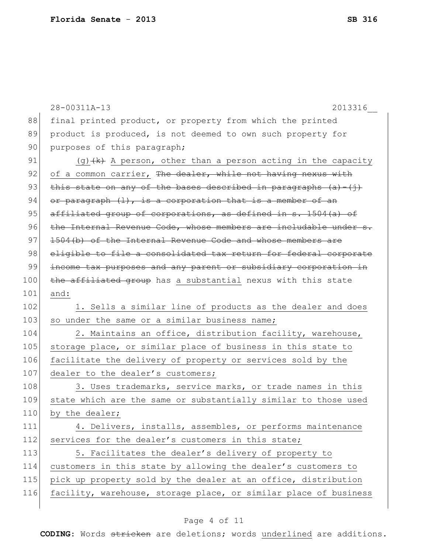|     | 28-00311A-13<br>2013316                                              |
|-----|----------------------------------------------------------------------|
| 88  | final printed product, or property from which the printed            |
| 89  | product is produced, is not deemed to own such property for          |
| 90  | purposes of this paragraph;                                          |
| 91  | (g) $(k)$ A person, other than a person acting in the capacity       |
| 92  | of a common carrier, The dealer, while not having nexus with         |
| 93  | this state on any of the bases described in paragraphs $(a) - (i)$ . |
| 94  | or paragraph (1), is a corporation that is a member of an            |
| 95  | affiliated group of corporations, as defined in s. 1504(a) of        |
| 96  | the Internal Revenue Code, whose members are includable under s.     |
| 97  | 1504(b) of the Internal Revenue Code and whose members are           |
| 98  | eligible to file a consolidated tax return for federal corporate     |
| 99  | income tax purposes and any parent or subsidiary corporation in      |
| 100 | the affiliated group has a substantial nexus with this state         |
| 101 | and:                                                                 |
| 102 | 1. Sells a similar line of products as the dealer and does           |
| 103 | so under the same or a similar business name;                        |
| 104 | 2. Maintains an office, distribution facility, warehouse,            |
| 105 | storage place, or similar place of business in this state to         |
| 106 | facilitate the delivery of property or services sold by the          |
| 107 | dealer to the dealer's customers;                                    |
| 108 | 3. Uses trademarks, service marks, or trade names in this            |
| 109 | state which are the same or substantially similar to those used      |
| 110 | by the dealer;                                                       |
| 111 | 4. Delivers, installs, assembles, or performs maintenance            |
| 112 | services for the dealer's customers in this state;                   |
| 113 | 5. Facilitates the dealer's delivery of property to                  |
| 114 | customers in this state by allowing the dealer's customers to        |
| 115 | pick up property sold by the dealer at an office, distribution       |
| 116 | facility, warehouse, storage place, or similar place of business     |
|     |                                                                      |

## Page 4 of 11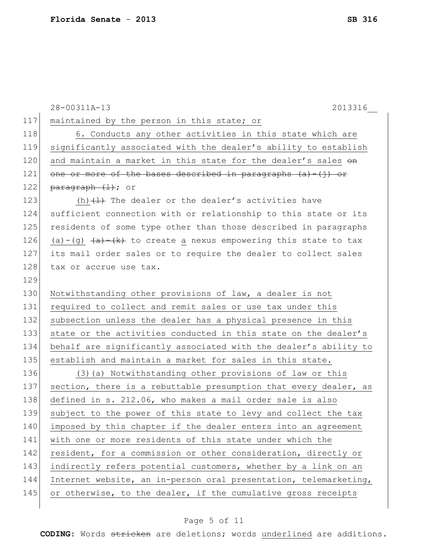|     | 28-00311A-13<br>2013316                                                                  |
|-----|------------------------------------------------------------------------------------------|
| 117 | maintained by the person in this state; or                                               |
| 118 | 6. Conducts any other activities in this state which are                                 |
| 119 | significantly associated with the dealer's ability to establish                          |
| 120 | and maintain a market in this state for the dealer's sales on                            |
| 121 | one or more of the bases described in paragraphs $(a) - (j)$ or                          |
| 122 | $\frac{parent(+)}{+}$ ; or                                                               |
| 123 | (h) $\{ \pm \}$ The dealer or the dealer's activities have                               |
| 124 | sufficient connection with or relationship to this state or its                          |
| 125 | residents of some type other than those described in paragraphs                          |
| 126 | (a)-(g) $\overline{(a)}$ $\overline{(k)}$ to create a nexus empowering this state to tax |
| 127 | its mail order sales or to require the dealer to collect sales                           |
| 128 | tax or accrue use tax.                                                                   |
| 129 |                                                                                          |
| 130 | Notwithstanding other provisions of law, a dealer is not                                 |
| 131 | required to collect and remit sales or use tax under this                                |
| 132 | subsection unless the dealer has a physical presence in this                             |
| 133 | state or the activities conducted in this state on the dealer's                          |
| 134 | behalf are significantly associated with the dealer's ability to                         |
| 135 | establish and maintain a market for sales in this state.                                 |
| 136 | (3) (a) Notwithstanding other provisions of law or this                                  |
| 137 | section, there is a rebuttable presumption that every dealer, as                         |
| 138 | defined in s. 212.06, who makes a mail order sale is also                                |
| 139 | subject to the power of this state to levy and collect the tax                           |
| 140 | imposed by this chapter if the dealer enters into an agreement                           |
| 141 | with one or more residents of this state under which the                                 |
| 142 | resident, for a commission or other consideration, directly or                           |
| 143 | indirectly refers potential customers, whether by a link on an                           |
| 144 | Internet website, an in-person oral presentation, telemarketing,                         |
| 145 | or otherwise, to the dealer, if the cumulative gross receipts                            |
|     |                                                                                          |

## Page 5 of 11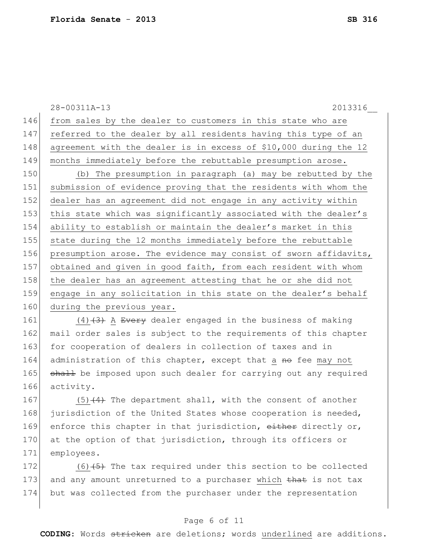28-00311A-13 2013316\_\_ 146 from sales by the dealer to customers in this state who are 147 referred to the dealer by all residents having this type of an 148 agreement with the dealer is in excess of \$10,000 during the 12 149 months immediately before the rebuttable presumption arose. 150 (b) The presumption in paragraph (a) may be rebutted by the 151 submission of evidence proving that the residents with whom the 152 dealer has an agreement did not engage in any activity within 153 this state which was significantly associated with the dealer's 154 ability to establish or maintain the dealer's market in this 155 state during the 12 months immediately before the rebuttable 156 presumption arose. The evidence may consist of sworn affidavits, 157 obtained and given in good faith, from each resident with whom 158 the dealer has an agreement attesting that he or she did not 159 engage in any solicitation in this state on the dealer's behalf 160 during the previous year. 161  $(4)$   $(3)$  A Every dealer engaged in the business of making

162 mail order sales is subject to the requirements of this chapter 163 for cooperation of dealers in collection of taxes and in 164 administration of this chapter, except that a no fee may not 165 shall be imposed upon such dealer for carrying out any required 166 activity.

167  $(5)$   $(4)$  The department shall, with the consent of another 168 jurisdiction of the United States whose cooperation is needed, 169 enforce this chapter in that jurisdiction, either directly or, 170 at the option of that jurisdiction, through its officers or 171 employees.

172  $(6)$  (6) (5) The tax required under this section to be collected 173 and any amount unreturned to a purchaser which that is not tax 174 but was collected from the purchaser under the representation

### Page 6 of 11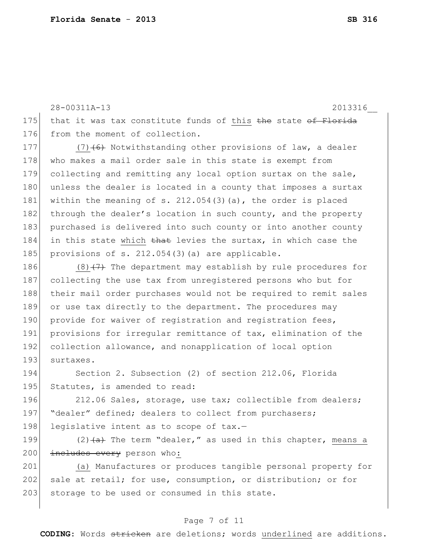28-00311A-13 2013316\_\_

175 that it was tax constitute funds of this  $the$  state of Florida 176 from the moment of collection.

177 (7) $(6)$  Notwithstanding other provisions of law, a dealer 178 who makes a mail order sale in this state is exempt from 179 collecting and remitting any local option surtax on the sale, 180 unless the dealer is located in a county that imposes a surtax 181 within the meaning of s. 212.054(3)(a), the order is placed 182 through the dealer's location in such county, and the property 183 purchased is delivered into such county or into another county 184 in this state which that levies the surtax, in which case the 185 provisions of s.  $212.054(3)$  (a) are applicable.

186  $(8)$  (7) The department may establish by rule procedures for 187 collecting the use tax from unregistered persons who but for 188 their mail order purchases would not be required to remit sales 189 or use tax directly to the department. The procedures may 190 provide for waiver of registration and registration fees, 191 provisions for irreqular remittance of tax, elimination of the 192 collection allowance, and nonapplication of local option 193 surtaxes.

194 Section 2. Subsection (2) of section 212.06, Florida 195 Statutes, is amended to read:

196 212.06 Sales, storage, use tax; collectible from dealers; 197 | "dealer" defined; dealers to collect from purchasers; 198 legislative intent as to scope of tax.-

199  $(2)$   $\left( \frac{a}{a} \right)$  The term "dealer," as used in this chapter, means a 200 includes every person who:

201 (a) Manufactures or produces tangible personal property for 202 sale at retail; for use, consumption, or distribution; or for 203 storage to be used or consumed in this state.

### Page 7 of 11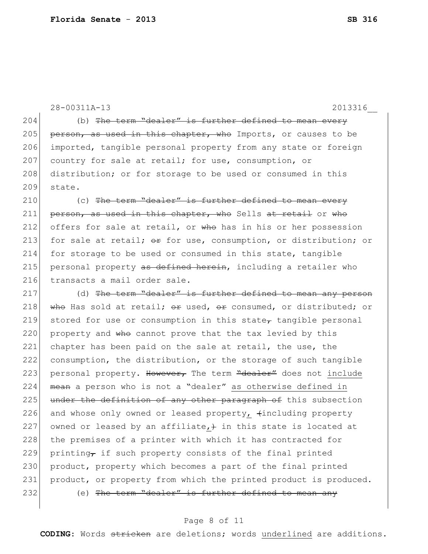|     | 28-00311A-13<br>2013316                                              |
|-----|----------------------------------------------------------------------|
| 204 | (b) The term "dealer" is further defined to mean every               |
| 205 | person, as used in this chapter, who Imports, or causes to be        |
| 206 | imported, tangible personal property from any state or foreign       |
| 207 | country for sale at retail; for use, consumption, or                 |
| 208 | distribution; or for storage to be used or consumed in this          |
| 209 | state.                                                               |
| 210 | (c) The term "dealer" is further defined to mean every               |
| 211 | person, as used in this chapter, who Sells at retail or who          |
| 212 | offers for sale at retail, or who has in his or her possession       |
| 213 | for sale at retail; or for use, consumption, or distribution; or     |
| 214 | for storage to be used or consumed in this state, tangible           |
| 215 | personal property as defined herein, including a retailer who        |
| 216 | transacts a mail order sale.                                         |
| 217 | (d) The term "dealer" is further defined to mean any person          |
| 218 | who Has sold at retail; or used, or consumed, or distributed; or     |
| 219 | stored for use or consumption in this state $\tau$ tangible personal |
| 220 | property and who cannot prove that the tax levied by this            |
| 221 | chapter has been paid on the sale at retail, the use, the            |
| 222 | consumption, the distribution, or the storage of such tangible       |
| 223 | personal property. However, The term "dealer" does not include       |
| 224 | mean a person who is not a "dealer" as otherwise defined in          |
| 225 | under the definition of any other paragraph of this subsection       |
| 226 | and whose only owned or leased property, tincluding property         |
| 227 | owned or leased by an affiliate, $+$ in this state is located at     |
| 228 | the premises of a printer with which it has contracted for           |
| 229 | printing, if such property consists of the final printed             |
| 230 | product, property which becomes a part of the final printed          |
| 231 | product, or property from which the printed product is produced.     |
| 232 | (e) The term "dealer" is further defined to mean any                 |
|     |                                                                      |

## Page 8 of 11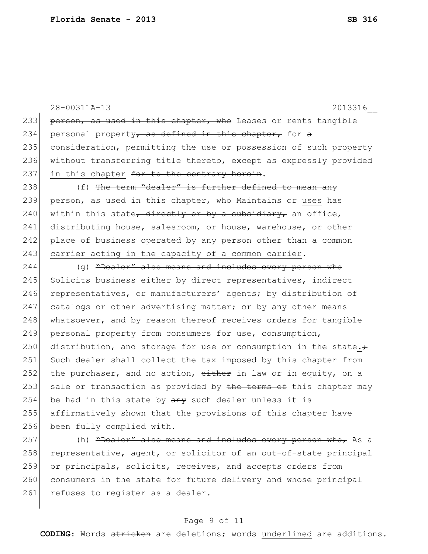28-00311A-13 2013316\_\_ 233 person, as used in this chapter, who Leases or rents tangible 234 personal property, as defined in this chapter, for a 235 consideration, permitting the use or possession of such property 236 without transferring title thereto, except as expressly provided 237 in this chapter  $f$ or to the contrary herein. 238  $( f )$  The term "dealer" is further defined to mean any 239 person, as used in this chapter, who Maintains or uses has 240 within this state, directly or by a subsidiary, an office, 241 distributing house, salesroom, or house, warehouse, or other 242 place of business operated by any person other than a common 243 carrier acting in the capacity of a common carrier. 244 (g) "Dealer" also means and includes every person who 245 Solicits business either by direct representatives, indirect 246 representatives, or manufacturers' agents; by distribution of 247 catalogs or other advertising matter; or by any other means 248 whatsoever, and by reason thereof receives orders for tangible 249 personal property from consumers for use, consumption, 250 distribution, and storage for use or consumption in the state. $\div$ 251 Such dealer shall collect the tax imposed by this chapter from 252 the purchaser, and no action,  $e$ ither in law or in equity, on a 253 sale or transaction as provided by the terms of this chapter may 254 be had in this state by  $\frac{a}{b}$  such dealer unless it is 255 affirmatively shown that the provisions of this chapter have 256 been fully complied with. 257 (h) <del>"Dealer" also means and includes every person who,</del> As a 258 representative, agent, or solicitor of an out-of-state principal 259 or principals, solicits, receives, and accepts orders from 260 consumers in the state for future delivery and whose principal

#### Page 9 of 11

261 refuses to register as a dealer.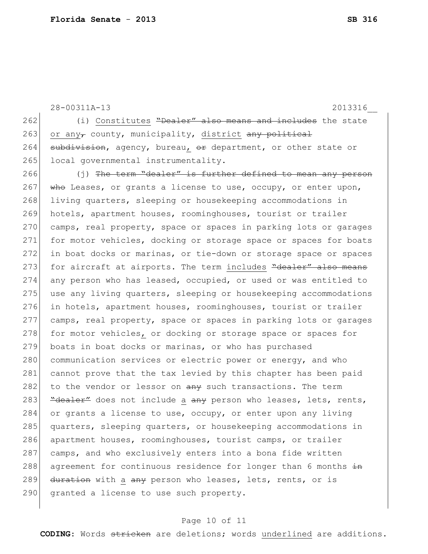|     | 28-00311A-13<br>2013316                                                   |
|-----|---------------------------------------------------------------------------|
| 262 | (i) Constitutes "Dealer" also means and includes the state                |
| 263 | or any, county, municipality, district any political                      |
| 264 | subdivision, agency, bureau, or department, or other state or             |
| 265 | local governmental instrumentality.                                       |
| 266 | $(j)$ The term "dealer" is further defined to mean any person             |
| 267 | who Leases, or grants a license to use, occupy, or enter upon,            |
| 268 | living quarters, sleeping or housekeeping accommodations in               |
| 269 | hotels, apartment houses, roominghouses, tourist or trailer               |
| 270 | camps, real property, space or spaces in parking lots or garages          |
| 271 | for motor vehicles, docking or storage space or spaces for boats          |
| 272 | in boat docks or marinas, or tie-down or storage space or spaces          |
| 273 | for aircraft at airports. The term includes "dealer" also means           |
| 274 | any person who has leased, occupied, or used or was entitled to           |
| 275 | use any living quarters, sleeping or housekeeping accommodations          |
| 276 | in hotels, apartment houses, roominghouses, tourist or trailer            |
| 277 | camps, real property, space or spaces in parking lots or garages          |
| 278 | for motor vehicles, or docking or storage space or spaces for             |
| 279 | boats in boat docks or marinas, or who has purchased                      |
| 280 | communication services or electric power or energy, and who               |
| 281 | cannot prove that the tax levied by this chapter has been paid            |
| 282 | to the vendor or lessor on any such transactions. The term                |
| 283 | "dealer" does not include a any person who leases, lets, rents,           |
| 284 | or grants a license to use, occupy, or enter upon any living              |
| 285 | quarters, sleeping quarters, or housekeeping accommodations in            |
| 286 | apartment houses, roominghouses, tourist camps, or trailer                |
| 287 | camps, and who exclusively enters into a bona fide written                |
| 288 | agreement for continuous residence for longer than 6 months $\frac{1}{2}$ |
| 289 | duration with a any person who leases, lets, rents, or is                 |
| 290 | granted a license to use such property.                                   |
|     |                                                                           |

## Page 10 of 11